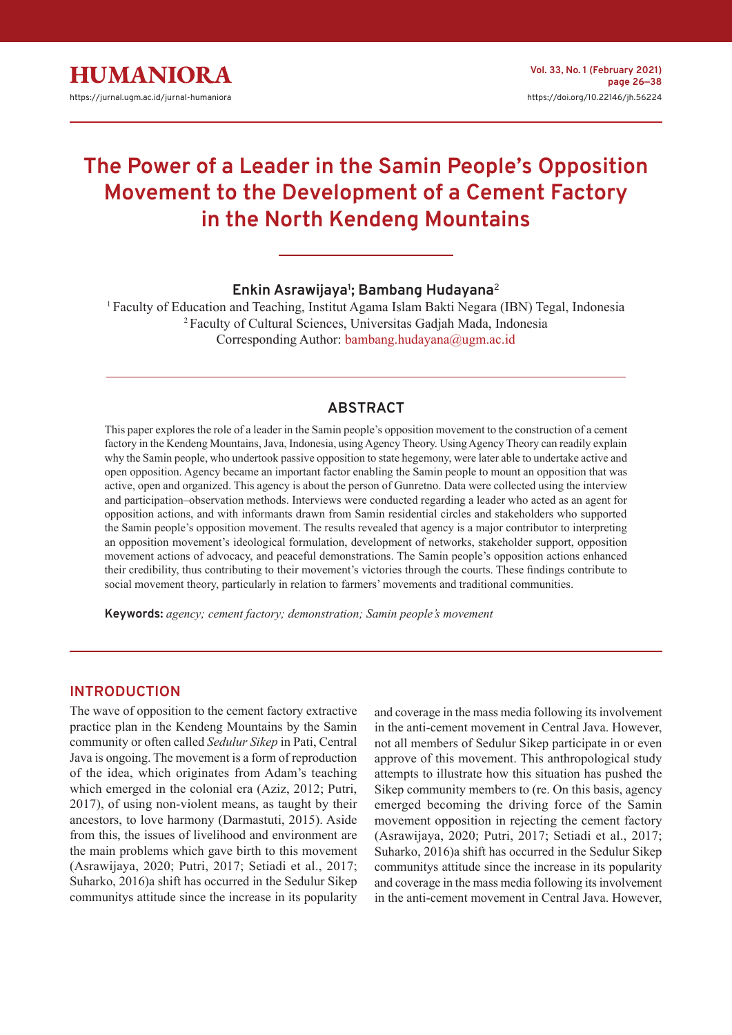

# **The Power of a Leader in the Samin People's Opposition Movement to the Development of a Cement Factory in the North Kendeng Mountains**

# **Enkin Asrawijaya<sup>1</sup> ; Bambang Hudayana**<sup>2</sup>

<sup>1</sup>Faculty of Education and Teaching, Institut Agama Islam Bakti Negara (IBN) Tegal, Indonesia <sup>2</sup>Faculty of Cultural Sciences, Universitas Gadjah Mada, Indonesia Corresponding Author: bambang.hudayana@ugm.ac.id

## **ABSTRACT**

This paper explores the role of a leader in the Samin people's opposition movement to the construction of a cement factory in the Kendeng Mountains, Java, Indonesia, using Agency Theory. Using Agency Theory can readily explain why the Samin people, who undertook passive opposition to state hegemony, were later able to undertake active and open opposition. Agency became an important factor enabling the Samin people to mount an opposition that was active, open and organized. This agency is about the person of Gunretno. Data were collected using the interview and participation–observation methods. Interviews were conducted regarding a leader who acted as an agent for opposition actions, and with informants drawn from Samin residential circles and stakeholders who supported the Samin people's opposition movement. The results revealed that agency is a major contributor to interpreting an opposition movement's ideological formulation, development of networks, stakeholder support, opposition movement actions of advocacy, and peaceful demonstrations. The Samin people's opposition actions enhanced their credibility, thus contributing to their movement's victories through the courts. These findings contribute to social movement theory, particularly in relation to farmers' movements and traditional communities.

**Keywords:** *agency; cement factory; demonstration; Samin people's movement*

## **INTRODUCTION**

The wave of opposition to the cement factory extractive practice plan in the Kendeng Mountains by the Samin community or often called *Sedulur Sikep* in Pati, Central Java is ongoing. The movement is a form of reproduction of the idea, which originates from Adam's teaching which emerged in the colonial era (Aziz, 2012; Putri, 2017), of using non-violent means, as taught by their ancestors, to love harmony (Darmastuti, 2015). Aside from this, the issues of livelihood and environment are the main problems which gave birth to this movement (Asrawijaya, 2020; Putri, 2017; Setiadi et al., 2017; Suharko, 2016)a shift has occurred in the Sedulur Sikep communitys attitude since the increase in its popularity

and coverage in the mass media following its involvement in the anti-cement movement in Central Java. However, not all members of Sedulur Sikep participate in or even approve of this movement. This anthropological study attempts to illustrate how this situation has pushed the Sikep community members to (re. On this basis, agency emerged becoming the driving force of the Samin movement opposition in rejecting the cement factory (Asrawijaya, 2020; Putri, 2017; Setiadi et al., 2017; Suharko, 2016)a shift has occurred in the Sedulur Sikep communitys attitude since the increase in its popularity and coverage in the mass media following its involvement in the anti-cement movement in Central Java. However,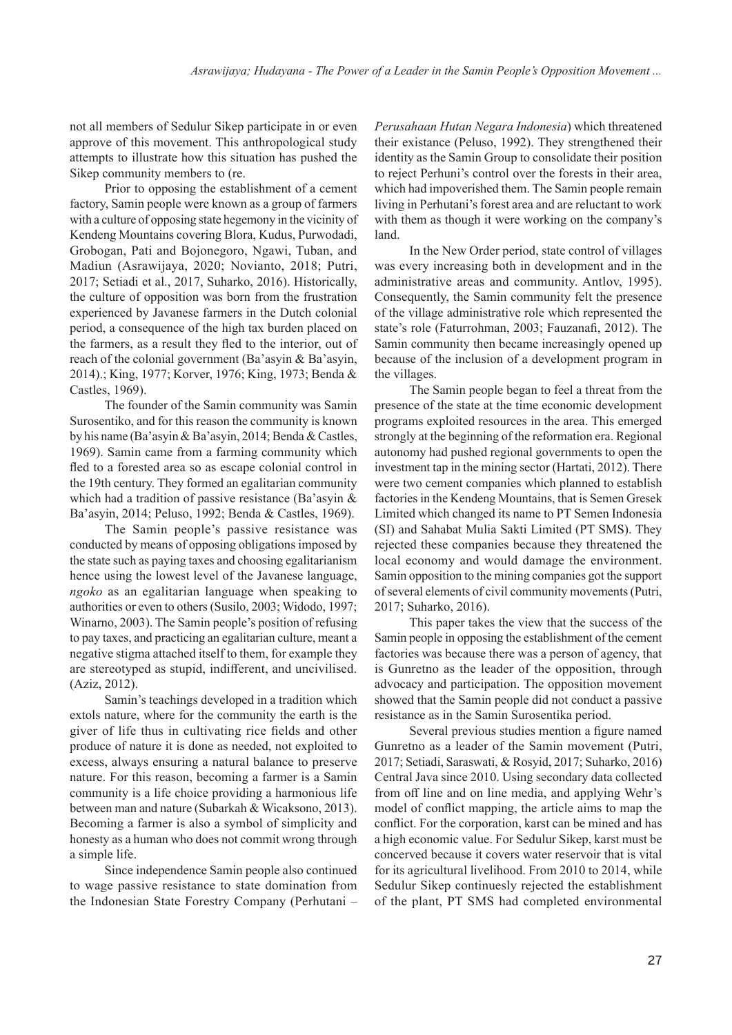not all members of Sedulur Sikep participate in or even approve of this movement. This anthropological study attempts to illustrate how this situation has pushed the Sikep community members to (re.

Prior to opposing the establishment of a cement factory, Samin people were known as a group of farmers with a culture of opposing state hegemony in the vicinity of Kendeng Mountains covering Blora, Kudus, Purwodadi, Grobogan, Pati and Bojonegoro, Ngawi, Tuban, and Madiun (Asrawijaya, 2020; Novianto, 2018; Putri, 2017; Setiadi et al., 2017, Suharko, 2016). Historically, the culture of opposition was born from the frustration experienced by Javanese farmers in the Dutch colonial period, a consequence of the high tax burden placed on the farmers, as a result they fled to the interior, out of reach of the colonial government (Ba'asyin & Ba'asyin, 2014).; King, 1977; Korver, 1976; King, 1973; Benda & Castles, 1969).

The founder of the Samin community was Samin Surosentiko, and for this reason the community is known by his name (Ba'asyin & Ba'asyin, 2014; Benda & Castles, 1969). Samin came from a farming community which fled to a forested area so as escape colonial control in the 19th century. They formed an egalitarian community which had a tradition of passive resistance (Ba'asyin & Ba'asyin, 2014; Peluso, 1992; Benda & Castles, 1969).

The Samin people's passive resistance was conducted by means of opposing obligations imposed by the state such as paying taxes and choosing egalitarianism hence using the lowest level of the Javanese language, *ngoko* as an egalitarian language when speaking to authorities or even to others (Susilo, 2003; Widodo, 1997; Winarno, 2003). The Samin people's position of refusing to pay taxes, and practicing an egalitarian culture, meant a negative stigma attached itself to them, for example they are stereotyped as stupid, indifferent, and uncivilised. (Aziz, 2012).

Samin's teachings developed in a tradition which extols nature, where for the community the earth is the giver of life thus in cultivating rice fields and other produce of nature it is done as needed, not exploited to excess, always ensuring a natural balance to preserve nature. For this reason, becoming a farmer is a Samin community is a life choice providing a harmonious life between man and nature (Subarkah & Wicaksono, 2013). Becoming a farmer is also a symbol of simplicity and honesty as a human who does not commit wrong through a simple life.

Since independence Samin people also continued to wage passive resistance to state domination from the Indonesian State Forestry Company (Perhutani - *Perusahaan Hutan Negara Indonesia*) which threatened their existance (Peluso, 1992). They strengthened their identity as the Samin Group to consolidate their position to reject Perhuni's control over the forests in their area, which had impoverished them. The Samin people remain living in Perhutani's forest area and are reluctant to work with them as though it were working on the company's land.

In the New Order period, state control of villages was every increasing both in development and in the administrative areas and community. Antlov, 1995). Consequently, the Samin community felt the presence of the village administrative role which represented the state's role (Faturrohman, 2003; Fauzanafi, 2012). The Samin community then became increasingly opened up because of the inclusion of a development program in the villages.

The Samin people began to feel a threat from the presence of the state at the time economic development programs exploited resources in the area. This emerged strongly at the beginning of the reformation era. Regional autonomy had pushed regional governments to open the investment tap in the mining sector (Hartati, 2012). There were two cement companies which planned to establish factories in the Kendeng Mountains, that is Semen Gresek Limited which changed its name to PT Semen Indonesia (SI) and Sahabat Mulia Sakti Limited (PT SMS). They rejected these companies because they threatened the local economy and would damage the environment. Samin opposition to the mining companies got the support of several elements of civil community movements (Putri, 2017; Suharko, 2016).

This paper takes the view that the success of the Samin people in opposing the establishment of the cement factories was because there was a person of agency, that is Gunretno as the leader of the opposition, through advocacy and participation. The opposition movement showed that the Samin people did not conduct a passive resistance as in the Samin Surosentika period.

Several previous studies mention a figure named Gunretno as a leader of the Samin movement (Putri, 2017; Setiadi, Saraswati, & Rosyid, 2017; Suharko, 2016) Central Java since 2010. Using secondary data collected from off line and on line media, and applying Wehr's model of conflict mapping, the article aims to map the conflict. For the corporation, karst can be mined and has a high economic value. For Sedulur Sikep, karst must be concerved because it covers water reservoir that is vital for its agricultural livelihood. From 2010 to 2014, while Sedulur Sikep continuesly rejected the establishment of the plant, PT SMS had completed environmental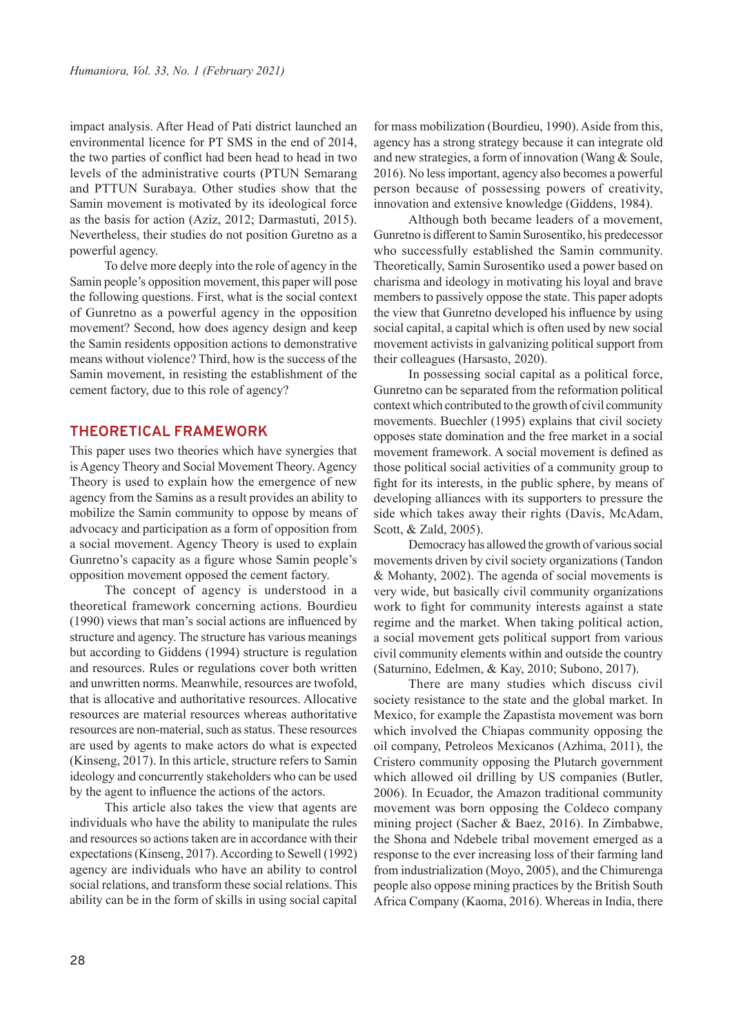impact analysis. After Head of Pati district launched an environmental licence for PT SMS in the end of 2014, the two parties of conflict had been head to head in two levels of the administrative courts (PTUN Semarang and PTTUN Surabaya. Other studies show that the Samin movement is motivated by its ideological force as the basis for action (Aziz, 2012; Darmastuti, 2015). Nevertheless, their studies do not position Guretno as a powerful agency.

To delve more deeply into the role of agency in the Samin people's opposition movement, this paper will pose the following questions. First, what is the social context of Gunretno as a powerful agency in the opposition movement? Second, how does agency design and keep the Samin residents opposition actions to demonstrative means without violence? Third, how is the success of the Samin movement, in resisting the establishment of the cement factory, due to this role of agency?

### **THEORETICAL FRAMEWORK**

This paper uses two theories which have synergies that is Agency Theory and Social Movement Theory. Agency Theory is used to explain how the emergence of new agency from the Samins as a result provides an ability to mobilize the Samin community to oppose by means of advocacy and participation as a form of opposition from a social movement. Agency Theory is used to explain Gunretno's capacity as a figure whose Samin people's opposition movement opposed the cement factory.

The concept of agency is understood in a theoretical framework concerning actions. Bourdieu (1990) views that man's social actions are influenced by structure and agency. The structure has various meanings but according to Giddens (1994) structure is regulation and resources. Rules or regulations cover both written and unwritten norms. Meanwhile, resources are twofold, that is allocative and authoritative resources. Allocative resources are material resources whereas authoritative resources are non-material, such as status. These resources are used by agents to make actors do what is expected (Kinseng, 2017). In this article, structure refers to Samin ideology and concurrently stakeholders who can be used by the agent to influence the actions of the actors.

This article also takes the view that agents are individuals who have the ability to manipulate the rules and resources so actions taken are in accordance with their expectations (Kinseng, 2017). According to Sewell (1992) agency are individuals who have an ability to control social relations, and transform these social relations. This ability can be in the form of skills in using social capital for mass mobilization (Bourdieu, 1990). Aside from this, agency has a strong strategy because it can integrate old and new strategies, a form of innovation (Wang & Soule, 2016). No less important, agency also becomes a powerful person because of possessing powers of creativity, innovation and extensive knowledge (Giddens, 1984).

Although both became leaders of a movement, Gunretno is different to Samin Surosentiko, his predecessor who successfully established the Samin community. Theoretically, Samin Surosentiko used a power based on charisma and ideology in motivating his loyal and brave members to passively oppose the state. This paper adopts the view that Gunretno developed his influence by using social capital, a capital which is often used by new social movement activists in galvanizing political support from their colleagues (Harsasto, 2020).

In possessing social capital as a political force, Gunretno can be separated from the reformation political context which contributed to the growth of civil community movements. Buechler (1995) explains that civil society opposes state domination and the free market in a social movement framework. A social movement is defined as those political social activities of a community group to fight for its interests, in the public sphere, by means of developing alliances with its supporters to pressure the side which takes away their rights (Davis, McAdam, Scott, & Zald, 2005).

Democracy has allowed the growth of various social movements driven by civil society organizations (Tandon & Mohanty, 2002). The agenda of social movements is very wide, but basically civil community organizations work to fight for community interests against a state regime and the market. When taking political action, a social movement gets political support from various civil community elements within and outside the country (Saturnino, Edelmen, & Kay, 2010; Subono, 2017).

There are many studies which discuss civil society resistance to the state and the global market. In Mexico, for example the Zapastista movement was born which involved the Chiapas community opposing the oil company, Petroleos Mexicanos (Azhima, 2011), the Cristero community opposing the Plutarch government which allowed oil drilling by US companies (Butler, 2006). In Ecuador, the Amazon traditional community movement was born opposing the Coldeco company mining project (Sacher & Baez, 2016). In Zimbabwe, the Shona and Ndebele tribal movement emerged as a response to the ever increasing loss of their farming land from industrialization (Moyo, 2005), and the Chimurenga people also oppose mining practices by the British South Africa Company (Kaoma, 2016). Whereas in India, there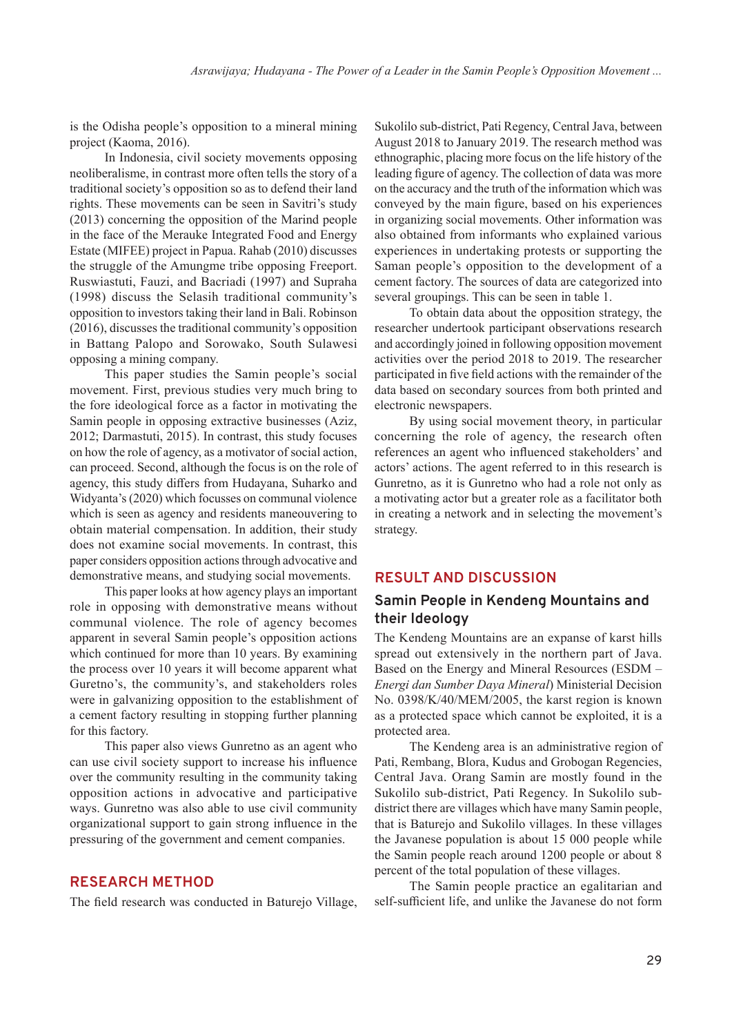is the Odisha people's opposition to a mineral mining project (Kaoma, 2016).

In Indonesia, civil society movements opposing neoliberalisme, in contrast more often tells the story of a traditional society's opposition so as to defend their land rights. These movements can be seen in Savitri's study (2013) concerning the opposition of the Marind people in the face of the Merauke Integrated Food and Energy Estate (MIFEE) project in Papua. Rahab (2010) discusses the struggle of the Amungme tribe opposing Freeport. Ruswiastuti, Fauzi, and Bacriadi (1997) and Supraha (1998) discuss the Selasih traditional community's opposition to investors taking their land in Bali. Robinson (2016), discusses the traditional community's opposition in Battang Palopo and Sorowako, South Sulawesi opposing a mining company.

This paper studies the Samin people's social movement. First, previous studies very much bring to the fore ideological force as a factor in motivating the Samin people in opposing extractive businesses (Aziz, 2012; Darmastuti, 2015). In contrast, this study focuses on how the role of agency, as a motivator of social action, can proceed. Second, although the focus is on the role of agency, this study differs from Hudayana, Suharko and Widyanta's (2020) which focusses on communal violence which is seen as agency and residents maneouvering to obtain material compensation. In addition, their study does not examine social movements. In contrast, this paper considers opposition actions through advocative and demonstrative means, and studying social movements.

This paper looks at how agency plays an important role in opposing with demonstrative means without communal violence. The role of agency becomes apparent in several Samin people's opposition actions which continued for more than 10 years. By examining the process over 10 years it will become apparent what Guretno's, the community's, and stakeholders roles were in galvanizing opposition to the establishment of a cement factory resulting in stopping further planning for this factory.

This paper also views Gunretno as an agent who can use civil society support to increase his influence over the community resulting in the community taking opposition actions in advocative and participative ways. Gunretno was also able to use civil community organizational support to gain strong influence in the pressuring of the government and cement companies.

#### **RESEARCH METHOD**

The field research was conducted in Baturejo Village,

Sukolilo sub-district, Pati Regency, Central Java, between August 2018 to January 2019. The research method was ethnographic, placing more focus on the life history of the leading figure of agency. The collection of data was more on the accuracy and the truth of the information which was conveyed by the main figure, based on his experiences in organizing social movements. Other information was also obtained from informants who explained various experiences in undertaking protests or supporting the Saman people's opposition to the development of a cement factory. The sources of data are categorized into several groupings. This can be seen in table 1.

To obtain data about the opposition strategy, the researcher undertook participant observations research and accordingly joined in following opposition movement activities over the period 2018 to 2019. The researcher participated in five field actions with the remainder of the data based on secondary sources from both printed and electronic newspapers.

By using social movement theory, in particular concerning the role of agency, the research often references an agent who influenced stakeholders' and actors' actions. The agent referred to in this research is Gunretno, as it is Gunretno who had a role not only as a motivating actor but a greater role as a facilitator both in creating a network and in selecting the movement's strategy.

#### **RESULT AND DISCUSSION**

## **Samin People in Kendeng Mountains and their Ideology**

The Kendeng Mountains are an expanse of karst hills spread out extensively in the northern part of Java. Based on the Energy and Mineral Resources (ESDM – *Energi dan Sumber Daya Mineral*) Ministerial Decision No. 0398/K/40/MEM/2005, the karst region is known as a protected space which cannot be exploited, it is a protected area.

The Kendeng area is an administrative region of Pati, Rembang, Blora, Kudus and Grobogan Regencies, Central Java. Orang Samin are mostly found in the Sukolilo sub-district, Pati Regency. In Sukolilo subdistrict there are villages which have many Samin people, that is Baturejo and Sukolilo villages. In these villages the Javanese population is about 15 000 people while the Samin people reach around 1200 people or about 8 percent of the total population of these villages.

The Samin people practice an egalitarian and self-sufficient life, and unlike the Javanese do not form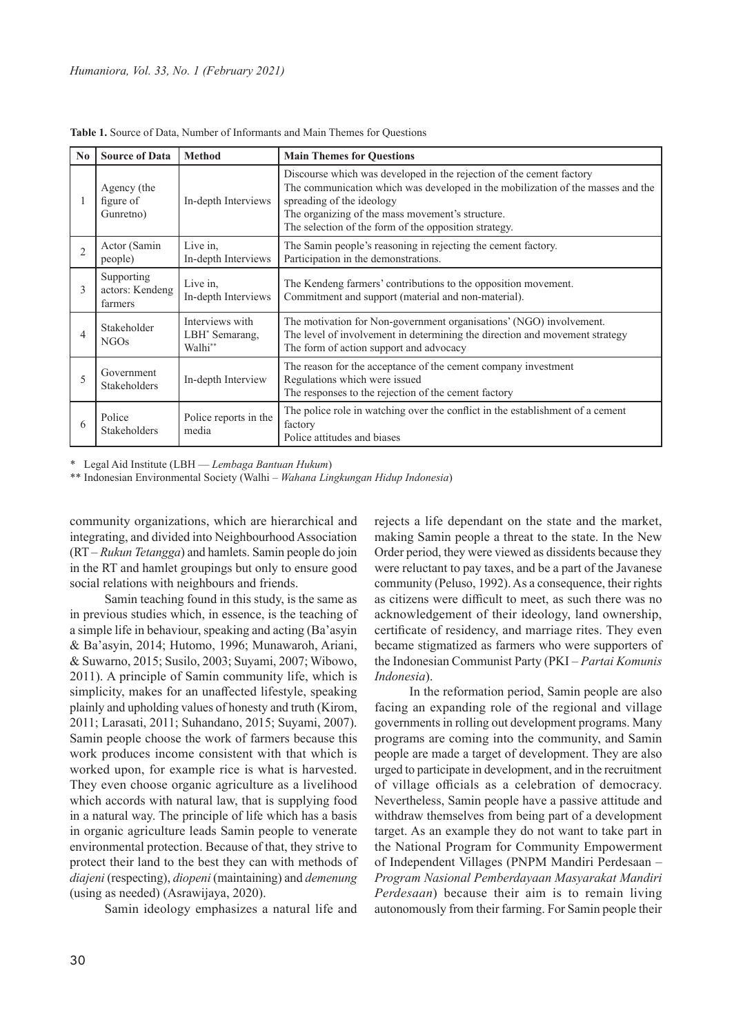| N <sub>0</sub> | <b>Source of Data</b>                                                                                                                                                                                       | <b>Method</b>                                            | <b>Main Themes for Questions</b>                                                                                                                                                                                                                                                                  |
|----------------|-------------------------------------------------------------------------------------------------------------------------------------------------------------------------------------------------------------|----------------------------------------------------------|---------------------------------------------------------------------------------------------------------------------------------------------------------------------------------------------------------------------------------------------------------------------------------------------------|
|                | Agency (the<br>figure of<br>Gunretno)                                                                                                                                                                       | In-depth Interviews                                      | Discourse which was developed in the rejection of the cement factory<br>The communication which was developed in the mobilization of the masses and the<br>spreading of the ideology<br>The organizing of the mass movement's structure.<br>The selection of the form of the opposition strategy. |
| $\mathfrak{D}$ | Actor (Samin<br>people)                                                                                                                                                                                     | Live in.<br>In-depth Interviews                          | The Samin people's reasoning in rejecting the cement factory.<br>Participation in the demonstrations.                                                                                                                                                                                             |
| 3              | Supporting<br>actors: Kendeng<br>farmers                                                                                                                                                                    | Live in.<br>In-depth Interviews                          | The Kendeng farmers' contributions to the opposition movement.<br>Commitment and support (material and non-material).                                                                                                                                                                             |
| $\overline{4}$ | Stakeholder<br><b>NGOs</b>                                                                                                                                                                                  | Interviews with<br>LBH* Semarang,<br>Walhi <sup>**</sup> | The motivation for Non-government organisations' (NGO) involvement.<br>The level of involvement in determining the direction and movement strategy<br>The form of action support and advocacy                                                                                                     |
|                | The reason for the acceptance of the cement company investment<br>Government<br>Regulations which were issued<br>In-depth Interview<br>Stakeholders<br>The responses to the rejection of the cement factory |                                                          |                                                                                                                                                                                                                                                                                                   |
|                | Police<br><b>Stakeholders</b>                                                                                                                                                                               | Police reports in the<br>media                           | The police role in watching over the conflict in the establishment of a cement<br>factory<br>Police attitudes and biases                                                                                                                                                                          |

**Table 1.** Source of Data, Number of Informants and Main Themes for Questions

\* Legal Aid Institute (LBH — *Lembaga Bantuan Hukum*)

\*\* Indonesian Environmental Society (Walhi ‒ *Wahana Lingkungan Hidup Indonesia*)

community organizations, which are hierarchical and integrating, and divided into Neighbourhood Association (RT – *Rukun Tetangga*) and hamlets. Samin people do join in the RT and hamlet groupings but only to ensure good social relations with neighbours and friends.

Samin teaching found in this study, is the same as in previous studies which, in essence, is the teaching of a simple life in behaviour, speaking and acting (Ba'asyin & Ba'asyin, 2014; Hutomo, 1996; Munawaroh, Ariani, & Suwarno, 2015; Susilo, 2003; Suyami, 2007; Wibowo, 2011). A principle of Samin community life, which is simplicity, makes for an unaffected lifestyle, speaking plainly and upholding values of honesty and truth (Kirom, 2011; Larasati, 2011; Suhandano, 2015; Suyami, 2007). Samin people choose the work of farmers because this work produces income consistent with that which is worked upon, for example rice is what is harvested. They even choose organic agriculture as a livelihood which accords with natural law, that is supplying food in a natural way. The principle of life which has a basis in organic agriculture leads Samin people to venerate environmental protection. Because of that, they strive to protect their land to the best they can with methods of *diajeni* (respecting), *diopeni* (maintaining) and *demenung*  (using as needed) (Asrawijaya, 2020).

Samin ideology emphasizes a natural life and

rejects a life dependant on the state and the market, making Samin people a threat to the state. In the New Order period, they were viewed as dissidents because they were reluctant to pay taxes, and be a part of the Javanese community (Peluso, 1992). As a consequence, their rights as citizens were difficult to meet, as such there was no acknowledgement of their ideology, land ownership, certificate of residency, and marriage rites. They even became stigmatized as farmers who were supporters of the Indonesian Communist Party (PKI – *Partai Komunis Indonesia*).

In the reformation period, Samin people are also facing an expanding role of the regional and village governments in rolling out development programs. Many programs are coming into the community, and Samin people are made a target of development. They are also urged to participate in development, and in the recruitment of village officials as a celebration of democracy. Nevertheless, Samin people have a passive attitude and withdraw themselves from being part of a development target. As an example they do not want to take part in the National Program for Community Empowerment of Independent Villages (PNPM Mandiri Perdesaan – *Program Nasional Pemberdayaan Masyarakat Mandiri Perdesaan*) because their aim is to remain living autonomously from their farming. For Samin people their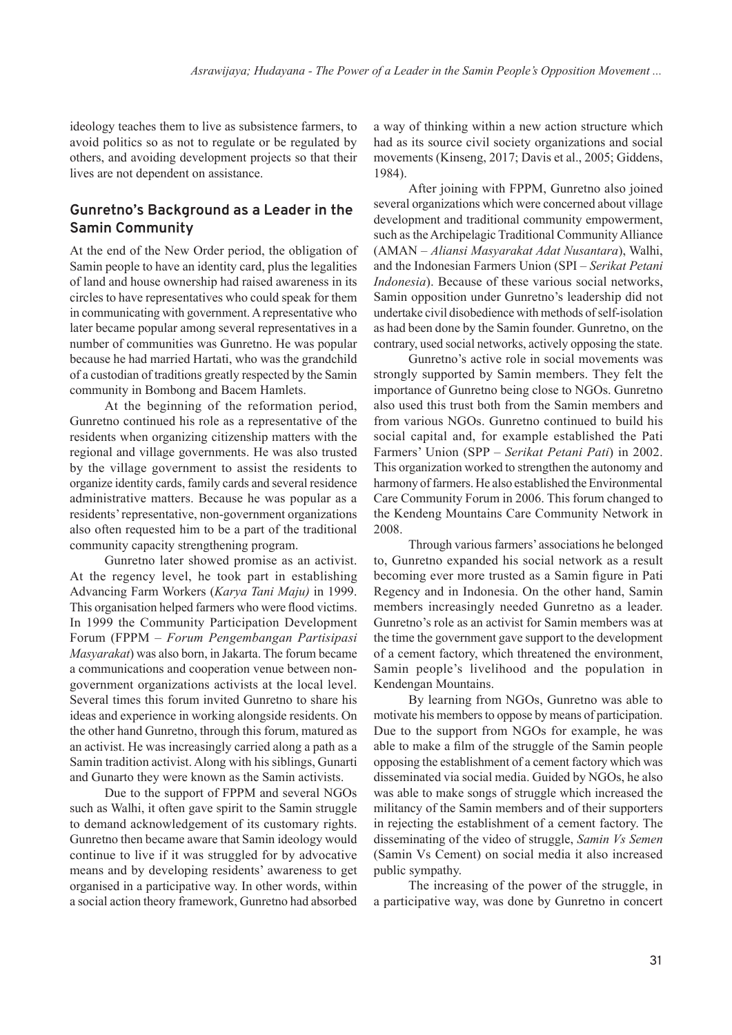ideology teaches them to live as subsistence farmers, to avoid politics so as not to regulate or be regulated by others, and avoiding development projects so that their lives are not dependent on assistance.

# **Gunretno's Background as a Leader in the Samin Community**

At the end of the New Order period, the obligation of Samin people to have an identity card, plus the legalities of land and house ownership had raised awareness in its circles to have representatives who could speak for them in communicating with government. A representative who later became popular among several representatives in a number of communities was Gunretno. He was popular because he had married Hartati, who was the grandchild of a custodian of traditions greatly respected by the Samin community in Bombong and Bacem Hamlets.

At the beginning of the reformation period, Gunretno continued his role as a representative of the residents when organizing citizenship matters with the regional and village governments. He was also trusted by the village government to assist the residents to organize identity cards, family cards and several residence administrative matters. Because he was popular as a residents' representative, non-government organizations also often requested him to be a part of the traditional community capacity strengthening program.

Gunretno later showed promise as an activist. At the regency level, he took part in establishing Advancing Farm Workers (*Karya Tani Maju)* in 1999. This organisation helped farmers who were flood victims. In 1999 the Community Participation Development Forum (FPPM ‒ *Forum Pengembangan Partisipasi Masyarakat*) was also born, in Jakarta. The forum became a communications and cooperation venue between nongovernment organizations activists at the local level. Several times this forum invited Gunretno to share his ideas and experience in working alongside residents. On the other hand Gunretno, through this forum, matured as an activist. He was increasingly carried along a path as a Samin tradition activist. Along with his siblings, Gunarti and Gunarto they were known as the Samin activists.

Due to the support of FPPM and several NGOs such as Walhi, it often gave spirit to the Samin struggle to demand acknowledgement of its customary rights. Gunretno then became aware that Samin ideology would continue to live if it was struggled for by advocative means and by developing residents' awareness to get organised in a participative way. In other words, within a social action theory framework, Gunretno had absorbed a way of thinking within a new action structure which had as its source civil society organizations and social movements (Kinseng, 2017; Davis et al., 2005; Giddens, 1984).

After joining with FPPM, Gunretno also joined several organizations which were concerned about village development and traditional community empowerment, such as the Archipelagic Traditional Community Alliance (AMAN ‒ *Aliansi Masyarakat Adat Nusantara*), Walhi, and the Indonesian Farmers Union (SPI ‒ *Serikat Petani Indonesia*). Because of these various social networks, Samin opposition under Gunretno's leadership did not undertake civil disobedience with methods of self-isolation as had been done by the Samin founder. Gunretno, on the contrary, used social networks, actively opposing the state.

Gunretno's active role in social movements was strongly supported by Samin members. They felt the importance of Gunretno being close to NGOs. Gunretno also used this trust both from the Samin members and from various NGOs. Gunretno continued to build his social capital and, for example established the Pati Farmers' Union (SPP ‒ *Serikat Petani Pati*) in 2002. This organization worked to strengthen the autonomy and harmony of farmers. He also established the Environmental Care Community Forum in 2006. This forum changed to the Kendeng Mountains Care Community Network in 2008.

Through various farmers' associations he belonged to, Gunretno expanded his social network as a result becoming ever more trusted as a Samin figure in Pati Regency and in Indonesia. On the other hand, Samin members increasingly needed Gunretno as a leader. Gunretno's role as an activist for Samin members was at the time the government gave support to the development of a cement factory, which threatened the environment, Samin people's livelihood and the population in Kendengan Mountains.

By learning from NGOs, Gunretno was able to motivate his members to oppose by means of participation. Due to the support from NGOs for example, he was able to make a film of the struggle of the Samin people opposing the establishment of a cement factory which was disseminated via social media. Guided by NGOs, he also was able to make songs of struggle which increased the militancy of the Samin members and of their supporters in rejecting the establishment of a cement factory. The disseminating of the video of struggle, *Samin Vs Semen* (Samin Vs Cement) on social media it also increased public sympathy.

The increasing of the power of the struggle, in a participative way, was done by Gunretno in concert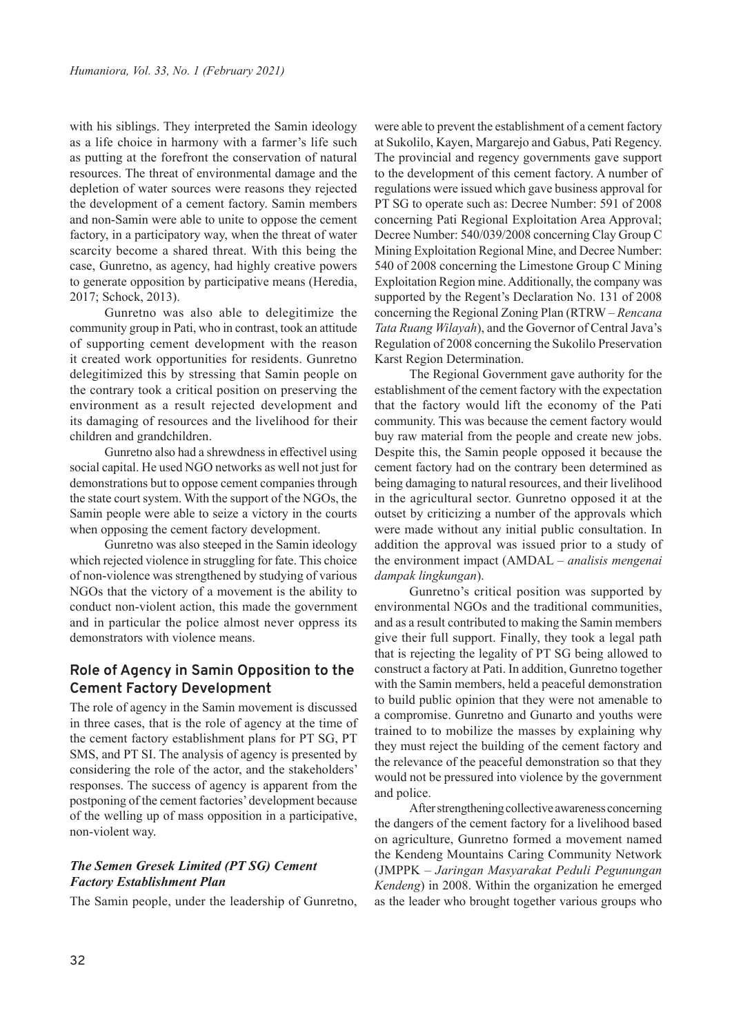with his siblings. They interpreted the Samin ideology as a life choice in harmony with a farmer's life such as putting at the forefront the conservation of natural resources. The threat of environmental damage and the depletion of water sources were reasons they rejected the development of a cement factory. Samin members and non-Samin were able to unite to oppose the cement factory, in a participatory way, when the threat of water scarcity become a shared threat. With this being the case, Gunretno, as agency, had highly creative powers to generate opposition by participative means (Heredia, 2017; Schock, 2013).

Gunretno was also able to delegitimize the community group in Pati, who in contrast, took an attitude of supporting cement development with the reason it created work opportunities for residents. Gunretno delegitimized this by stressing that Samin people on the contrary took a critical position on preserving the environment as a result rejected development and its damaging of resources and the livelihood for their children and grandchildren.

Gunretno also had a shrewdness in effectivel using social capital. He used NGO networks as well not just for demonstrations but to oppose cement companies through the state court system. With the support of the NGOs, the Samin people were able to seize a victory in the courts when opposing the cement factory development.

Gunretno was also steeped in the Samin ideology which rejected violence in struggling for fate. This choice of non-violence was strengthened by studying of various NGOs that the victory of a movement is the ability to conduct non-violent action, this made the government and in particular the police almost never oppress its demonstrators with violence means.

## **Role of Agency in Samin Opposition to the Cement Factory Development**

The role of agency in the Samin movement is discussed in three cases, that is the role of agency at the time of the cement factory establishment plans for PT SG, PT SMS, and PT SI. The analysis of agency is presented by considering the role of the actor, and the stakeholders' responses. The success of agency is apparent from the postponing of the cement factories' development because of the welling up of mass opposition in a participative, non-violent way.

## *The Semen Gresek Limited (PT SG) Cement Factory Establishment Plan*

The Samin people, under the leadership of Gunretno,

were able to prevent the establishment of a cement factory at Sukolilo, Kayen, Margarejo and Gabus, Pati Regency. The provincial and regency governments gave support to the development of this cement factory. A number of regulations were issued which gave business approval for PT SG to operate such as: Decree Number: 591 of 2008 concerning Pati Regional Exploitation Area Approval; Decree Number: 540/039/2008 concerning Clay Group C Mining Exploitation Regional Mine, and Decree Number: 540 of 2008 concerning the Limestone Group C Mining Exploitation Region mine. Additionally, the company was supported by the Regent's Declaration No. 131 of 2008 concerning the Regional Zoning Plan (RTRW ‒ *Rencana Tata Ruang Wilayah*), and the Governor of Central Java's Regulation of 2008 concerning the Sukolilo Preservation Karst Region Determination.

The Regional Government gave authority for the establishment of the cement factory with the expectation that the factory would lift the economy of the Pati community. This was because the cement factory would buy raw material from the people and create new jobs. Despite this, the Samin people opposed it because the cement factory had on the contrary been determined as being damaging to natural resources, and their livelihood in the agricultural sector. Gunretno opposed it at the outset by criticizing a number of the approvals which were made without any initial public consultation. In addition the approval was issued prior to a study of the environment impact (AMDAL - analisis mengenai *dampak lingkungan*).

Gunretno's critical position was supported by environmental NGOs and the traditional communities, and as a result contributed to making the Samin members give their full support. Finally, they took a legal path that is rejecting the legality of PT SG being allowed to construct a factory at Pati. In addition, Gunretno together with the Samin members, held a peaceful demonstration to build public opinion that they were not amenable to a compromise. Gunretno and Gunarto and youths were trained to to mobilize the masses by explaining why they must reject the building of the cement factory and the relevance of the peaceful demonstration so that they would not be pressured into violence by the government and police.

After strengthening collective awareness concerning the dangers of the cement factory for a livelihood based on agriculture, Gunretno formed a movement named the Kendeng Mountains Caring Community Network (JMPPK ‒ *Jaringan Masyarakat Peduli Pegunungan Kendeng*) in 2008. Within the organization he emerged as the leader who brought together various groups who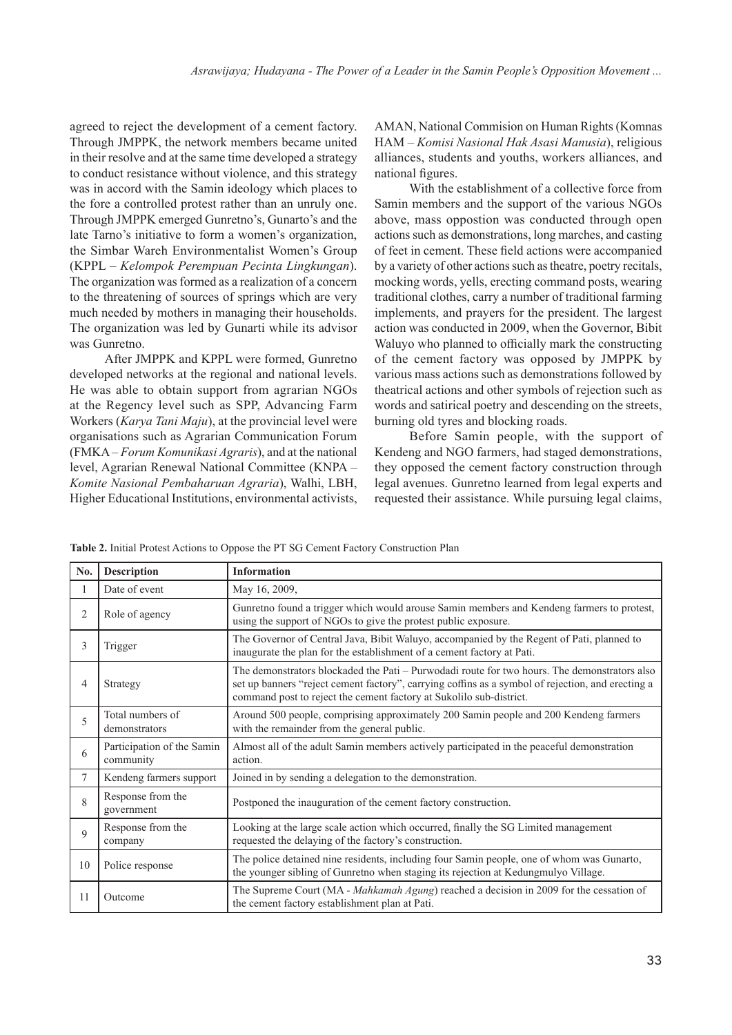agreed to reject the development of a cement factory. Through JMPPK, the network members became united in their resolve and at the same time developed a strategy to conduct resistance without violence, and this strategy was in accord with the Samin ideology which places to the fore a controlled protest rather than an unruly one. Through JMPPK emerged Gunretno's, Gunarto's and the late Tarno's initiative to form a women's organization, the Simbar Wareh Environmentalist Women's Group (KPPL ‒ *Kelompok Perempuan Pecinta Lingkungan*). The organization was formed as a realization of a concern to the threatening of sources of springs which are very much needed by mothers in managing their households. The organization was led by Gunarti while its advisor was Gunretno.

After JMPPK and KPPL were formed, Gunretno developed networks at the regional and national levels. He was able to obtain support from agrarian NGOs at the Regency level such as SPP, Advancing Farm Workers (*Karya Tani Maju*), at the provincial level were organisations such as Agrarian Communication Forum (FMKA ‒ *Forum Komunikasi Agraris*), and at the national level, Agrarian Renewal National Committee (KNPA – *Komite Nasional Pembaharuan Agraria*), Walhi, LBH, Higher Educational Institutions, environmental activists,

AMAN, National Commision on Human Rights (Komnas HAM ‒ *Komisi Nasional Hak Asasi Manusia*), religious alliances, students and youths, workers alliances, and national figures.

With the establishment of a collective force from Samin members and the support of the various NGOs above, mass oppostion was conducted through open actions such as demonstrations, long marches, and casting of feet in cement. These field actions were accompanied by a variety of other actions such as theatre, poetry recitals, mocking words, yells, erecting command posts, wearing traditional clothes, carry a number of traditional farming implements, and prayers for the president. The largest action was conducted in 2009, when the Governor, Bibit Waluyo who planned to officially mark the constructing of the cement factory was opposed by JMPPK by various mass actions such as demonstrations followed by theatrical actions and other symbols of rejection such as words and satirical poetry and descending on the streets, burning old tyres and blocking roads.

Before Samin people, with the support of Kendeng and NGO farmers, had staged demonstrations, they opposed the cement factory construction through legal avenues. Gunretno learned from legal experts and requested their assistance. While pursuing legal claims,

|  |  | Table 2. Initial Protest Actions to Oppose the PT SG Cement Factory Construction Plan |
|--|--|---------------------------------------------------------------------------------------|
|--|--|---------------------------------------------------------------------------------------|

| No. | <b>Description</b>                      | <b>Information</b>                                                                                                                                                                                                                                                       |
|-----|-----------------------------------------|--------------------------------------------------------------------------------------------------------------------------------------------------------------------------------------------------------------------------------------------------------------------------|
| 1   | Date of event                           | May 16, 2009,                                                                                                                                                                                                                                                            |
| 2   | Role of agency                          | Gunretno found a trigger which would arouse Samin members and Kendeng farmers to protest,<br>using the support of NGOs to give the protest public exposure.                                                                                                              |
| 3   | Trigger                                 | The Governor of Central Java, Bibit Waluyo, accompanied by the Regent of Pati, planned to<br>inaugurate the plan for the establishment of a cement factory at Pati.                                                                                                      |
| 4   | Strategy                                | The demonstrators blockaded the Pati – Purwodadi route for two hours. The demonstrators also<br>set up banners "reject cement factory", carrying coffins as a symbol of rejection, and erecting a<br>command post to reject the cement factory at Sukolilo sub-district. |
| 5   | Total numbers of<br>demonstrators       | Around 500 people, comprising approximately 200 Samin people and 200 Kendeng farmers<br>with the remainder from the general public.                                                                                                                                      |
| 6   | Participation of the Samin<br>community | Almost all of the adult Samin members actively participated in the peaceful demonstration<br>action.                                                                                                                                                                     |
| 7   | Kendeng farmers support                 | Joined in by sending a delegation to the demonstration.                                                                                                                                                                                                                  |
| 8   | Response from the<br>government         | Postponed the inauguration of the cement factory construction.                                                                                                                                                                                                           |
| 9   | Response from the<br>company            | Looking at the large scale action which occurred, finally the SG Limited management<br>requested the delaying of the factory's construction.                                                                                                                             |
| 10  | Police response                         | The police detained nine residents, including four Samin people, one of whom was Gunarto,<br>the younger sibling of Gunretno when staging its rejection at Kedungmulyo Village.                                                                                          |
| 11  | Outcome                                 | The Supreme Court (MA - Mahkamah Agung) reached a decision in 2009 for the cessation of<br>the cement factory establishment plan at Pati.                                                                                                                                |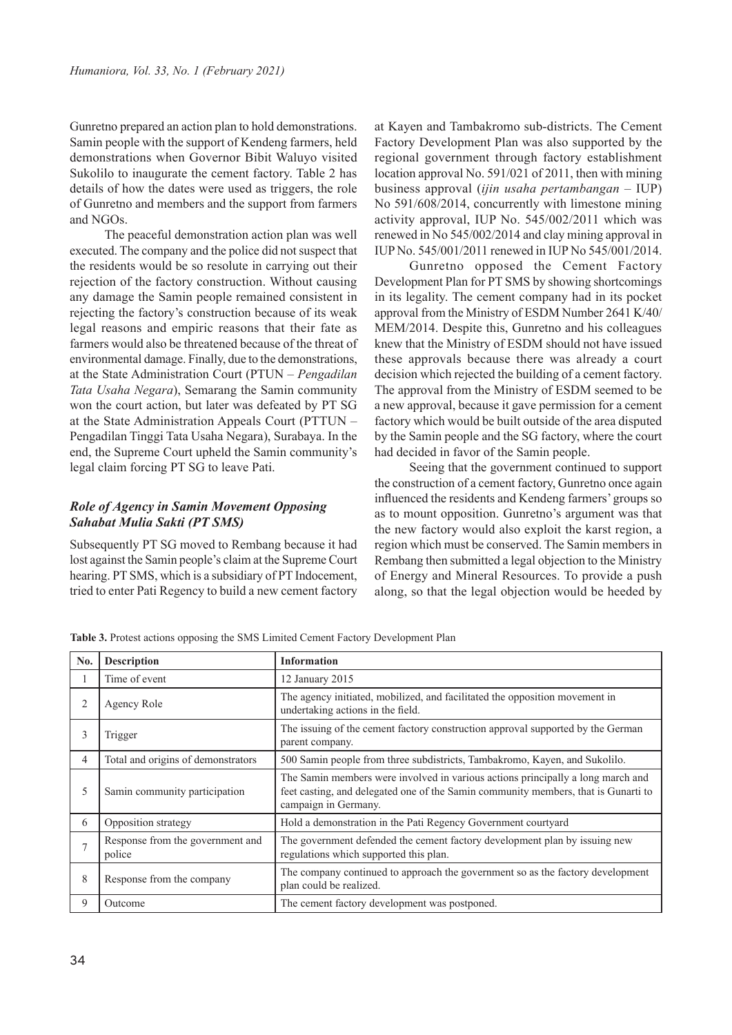Gunretno prepared an action plan to hold demonstrations. Samin people with the support of Kendeng farmers, held demonstrations when Governor Bibit Waluyo visited Sukolilo to inaugurate the cement factory. Table 2 has details of how the dates were used as triggers, the role of Gunretno and members and the support from farmers and NGOs.

The peaceful demonstration action plan was well executed. The company and the police did not suspect that the residents would be so resolute in carrying out their rejection of the factory construction. Without causing any damage the Samin people remained consistent in rejecting the factory's construction because of its weak legal reasons and empiric reasons that their fate as farmers would also be threatened because of the threat of environmental damage. Finally, due to the demonstrations, at the State Administration Court (PTUN ‒ *Pengadilan Tata Usaha Negara*), Semarang the Samin community won the court action, but later was defeated by PT SG at the State Administration Appeals Court (PTTUN – Pengadilan Tinggi Tata Usaha Negara), Surabaya. In the end, the Supreme Court upheld the Samin community's legal claim forcing PT SG to leave Pati.

## *Role of Agency in Samin Movement Opposing Sahabat Mulia Sakti (PT SMS)*

Subsequently PT SG moved to Rembang because it had lost against the Samin people's claim at the Supreme Court hearing. PT SMS, which is a subsidiary of PT Indocement, tried to enter Pati Regency to build a new cement factory

at Kayen and Tambakromo sub-districts. The Cement Factory Development Plan was also supported by the regional government through factory establishment location approval No. 591/021 of 2011, then with mining business approval (*ijin usaha pertambangan* ‒ IUP) No 591/608/2014, concurrently with limestone mining activity approval, IUP No. 545/002/2011 which was renewed in No 545/002/2014 and clay mining approval in IUP No. 545/001/2011 renewed in IUP No 545/001/2014.

Gunretno opposed the Cement Factory Development Plan for PT SMS by showing shortcomings in its legality. The cement company had in its pocket approval from the Ministry of ESDM Number 2641 K/40/ MEM/2014. Despite this, Gunretno and his colleagues knew that the Ministry of ESDM should not have issued these approvals because there was already a court decision which rejected the building of a cement factory. The approval from the Ministry of ESDM seemed to be a new approval, because it gave permission for a cement factory which would be built outside of the area disputed by the Samin people and the SG factory, where the court had decided in favor of the Samin people.

Seeing that the government continued to support the construction of a cement factory, Gunretno once again influenced the residents and Kendeng farmers' groups so as to mount opposition. Gunretno's argument was that the new factory would also exploit the karst region, a region which must be conserved. The Samin members in Rembang then submitted a legal objection to the Ministry of Energy and Mineral Resources. To provide a push along, so that the legal objection would be heeded by

**Table 3.** Protest actions opposing the SMS Limited Cement Factory Development Plan

| No.            | <b>Description</b>                         | <b>Information</b>                                                                                                                                                                            |
|----------------|--------------------------------------------|-----------------------------------------------------------------------------------------------------------------------------------------------------------------------------------------------|
| л.             | Time of event                              | 12 January 2015                                                                                                                                                                               |
| 2              | Agency Role                                | The agency initiated, mobilized, and facilitated the opposition movement in<br>undertaking actions in the field.                                                                              |
| 3              | Trigger                                    | The issuing of the cement factory construction approval supported by the German<br>parent company.                                                                                            |
| 4              | Total and origins of demonstrators         | 500 Samin people from three subdistricts, Tambakromo, Kayen, and Sukolilo.                                                                                                                    |
| 5              | Samin community participation              | The Samin members were involved in various actions principally a long march and<br>feet casting, and delegated one of the Samin community members, that is Gunarti to<br>campaign in Germany. |
| 6              | Opposition strategy                        | Hold a demonstration in the Pati Regency Government courtyard                                                                                                                                 |
| $\overline{ }$ | Response from the government and<br>police | The government defended the cement factory development plan by issuing new<br>regulations which supported this plan.                                                                          |
| 8              | Response from the company                  | The company continued to approach the government so as the factory development<br>plan could be realized.                                                                                     |
| 9              | Outcome                                    | The cement factory development was postponed.                                                                                                                                                 |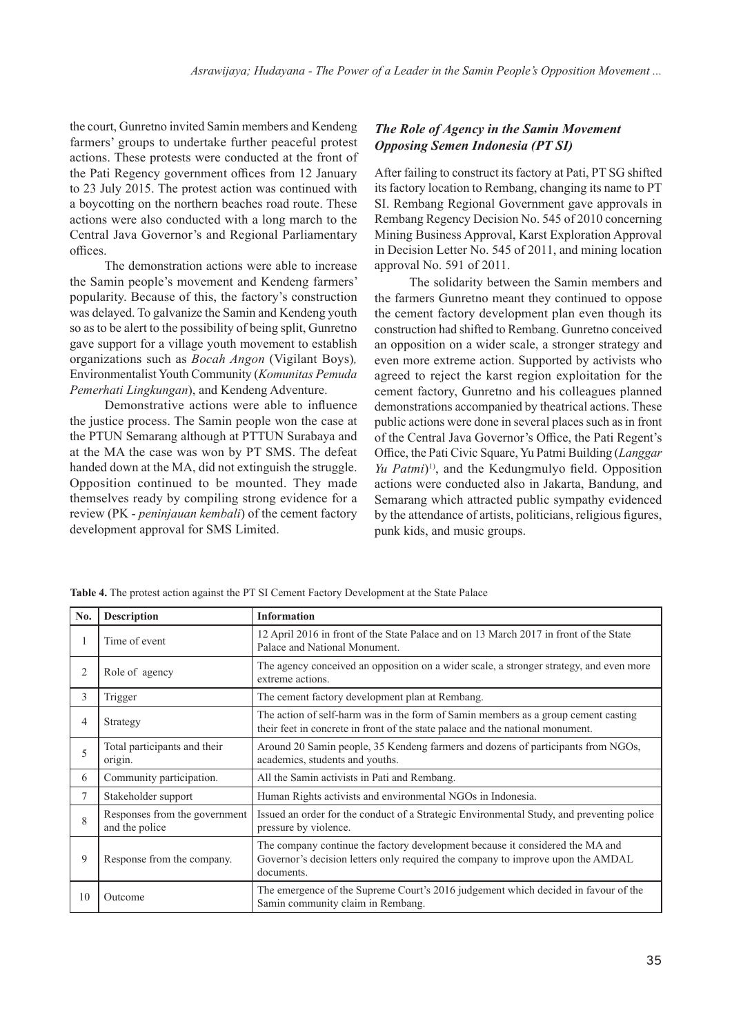the court, Gunretno invited Samin members and Kendeng farmers' groups to undertake further peaceful protest actions. These protests were conducted at the front of the Pati Regency government offices from 12 January to 23 July 2015. The protest action was continued with a boycotting on the northern beaches road route. These actions were also conducted with a long march to the Central Java Governor's and Regional Parliamentary offices.

The demonstration actions were able to increase the Samin people's movement and Kendeng farmers' popularity. Because of this, the factory's construction was delayed. To galvanize the Samin and Kendeng youth so as to be alert to the possibility of being split, Gunretno gave support for a village youth movement to establish organizations such as *Bocah Angon* (Vigilant Boys)*,*  Environmentalist Youth Community (*Komunitas Pemuda Pemerhati Lingkungan*), and Kendeng Adventure.

Demonstrative actions were able to influence the justice process. The Samin people won the case at the PTUN Semarang although at PTTUN Surabaya and at the MA the case was won by PT SMS. The defeat handed down at the MA, did not extinguish the struggle. Opposition continued to be mounted. They made themselves ready by compiling strong evidence for a review (PK - *peninjauan kembali*) of the cement factory development approval for SMS Limited.

### *The Role of Agency in the Samin Movement Opposing Semen Indonesia (PT SI)*

After failing to construct its factory at Pati, PT SG shifted its factory location to Rembang, changing its name to PT SI. Rembang Regional Government gave approvals in Rembang Regency Decision No. 545 of 2010 concerning Mining Business Approval, Karst Exploration Approval in Decision Letter No. 545 of 2011, and mining location approval No. 591 of 2011.

The solidarity between the Samin members and the farmers Gunretno meant they continued to oppose the cement factory development plan even though its construction had shifted to Rembang. Gunretno conceived an opposition on a wider scale, a stronger strategy and even more extreme action. Supported by activists who agreed to reject the karst region exploitation for the cement factory, Gunretno and his colleagues planned demonstrations accompanied by theatrical actions. These public actions were done in several places such as in front of the Central Java Governor's Office, the Pati Regent's Office, the Pati Civic Square, Yu Patmi Building (*Langgar Yu Patmi*) 1), and the Kedungmulyo field. Opposition actions were conducted also in Jakarta, Bandung, and Semarang which attracted public sympathy evidenced by the attendance of artists, politicians, religious figures, punk kids, and music groups.

| No.    | <b>Description</b>                              | <b>Information</b>                                                                                                                                                             |
|--------|-------------------------------------------------|--------------------------------------------------------------------------------------------------------------------------------------------------------------------------------|
|        | Time of event                                   | 12 April 2016 in front of the State Palace and on 13 March 2017 in front of the State<br>Palace and National Monument.                                                         |
| 2      | Role of agency                                  | The agency conceived an opposition on a wider scale, a stronger strategy, and even more<br>extreme actions.                                                                    |
| 3      | Trigger                                         | The cement factory development plan at Rembang.                                                                                                                                |
| 4      | Strategy                                        | The action of self-harm was in the form of Samin members as a group cement casting<br>their feet in concrete in front of the state palace and the national monument.           |
| 5      | Total participants and their<br>origin.         | Around 20 Samin people, 35 Kendeng farmers and dozens of participants from NGOs,<br>academics, students and youths.                                                            |
| 6      | Community participation.                        | All the Samin activists in Pati and Rembang.                                                                                                                                   |
| $\tau$ | Stakeholder support                             | Human Rights activists and environmental NGOs in Indonesia.                                                                                                                    |
| 8      | Responses from the government<br>and the police | Issued an order for the conduct of a Strategic Environmental Study, and preventing police<br>pressure by violence.                                                             |
| 9      | Response from the company.                      | The company continue the factory development because it considered the MA and<br>Governor's decision letters only required the company to improve upon the AMDAL<br>documents. |
| 10     | Outcome                                         | The emergence of the Supreme Court's 2016 judgement which decided in favour of the<br>Samin community claim in Rembang.                                                        |

**Table 4.** The protest action against the PT SI Cement Factory Development at the State Palace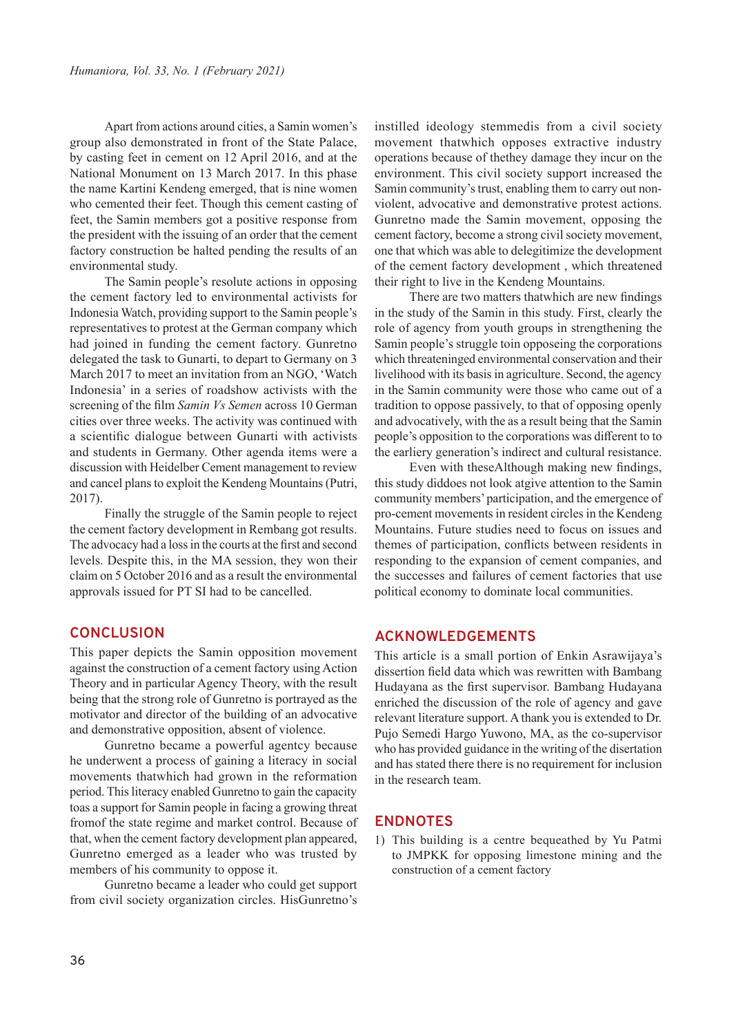Apart from actions around cities, a Samin women's group also demonstrated in front of the State Palace, by casting feet in cement on 12 April 2016, and at the National Monument on 13 March 2017. In this phase the name Kartini Kendeng emerged, that is nine women who cemented their feet. Though this cement casting of feet, the Samin members got a positive response from the president with the issuing of an order that the cement factory construction be halted pending the results of an environmental study.

The Samin people's resolute actions in opposing the cement factory led to environmental activists for Indonesia Watch, providing support to the Samin people's representatives to protest at the German company which had joined in funding the cement factory. Gunretno delegated the task to Gunarti, to depart to Germany on 3 March 2017 to meet an invitation from an NGO, 'Watch Indonesia' in a series of roadshow activists with the screening of the film *Samin Vs Semen* across 10 German cities over three weeks. The activity was continued with a scientific dialogue between Gunarti with activists and students in Germany. Other agenda items were a discussion with Heidelber Cement management to review and cancel plans to exploit the Kendeng Mountains (Putri, 2017).

Finally the struggle of the Samin people to reject the cement factory development in Rembang got results. The advocacy had a loss in the courts at the first and second levels. Despite this, in the MA session, they won their claim on 5 October 2016 and as a result the environmental approvals issued for PT SI had to be cancelled.

#### **CONCLUSION**

This paper depicts the Samin opposition movement against the construction of a cement factory using Action Theory and in particular Agency Theory, with the result being that the strong role of Gunretno is portrayed as the motivator and director of the building of an advocative and demonstrative opposition, absent of violence.

Gunretno became a powerful agentcy because he underwent a process of gaining a literacy in social movements thatwhich had grown in the reformation period. This literacy enabled Gunretno to gain the capacity toas a support for Samin people in facing a growing threat fromof the state regime and market control. Because of that, when the cement factory development plan appeared, Gunretno emerged as a leader who was trusted by members of his community to oppose it.

Gunretno became a leader who could get support from civil society organization circles. HisGunretno's

instilled ideology stemmedis from a civil society movement thatwhich opposes extractive industry operations because of thethey damage they incur on the environment. This civil society support increased the Samin community's trust, enabling them to carry out nonviolent, advocative and demonstrative protest actions. Gunretno made the Samin movement, opposing the cement factory, become a strong civil society movement, one that which was able to delegitimize the development of the cement factory development , which threatened their right to live in the Kendeng Mountains.

There are two matters thatwhich are new findings in the study of the Samin in this study. First, clearly the role of agency from youth groups in strengthening the Samin people's struggle toin opposeing the corporations which threateninged environmental conservation and their livelihood with its basis in agriculture. Second, the agency in the Samin community were those who came out of a tradition to oppose passively, to that of opposing openly and advocatively, with the as a result being that the Samin people's opposition to the corporations was different to to the earliery generation's indirect and cultural resistance.

Even with theseAlthough making new findings, this study diddoes not look atgive attention to the Samin community members' participation, and the emergence of pro-cement movements in resident circles in the Kendeng Mountains. Future studies need to focus on issues and themes of participation, conflicts between residents in responding to the expansion of cement companies, and the successes and failures of cement factories that use political economy to dominate local communities.

### **ACKNOWLEDGEMENTS**

This article is a small portion of Enkin Asrawijaya's dissertion field data which was rewritten with Bambang Hudayana as the first supervisor. Bambang Hudayana enriched the discussion of the role of agency and gave relevant literature support. A thank you is extended to Dr. Pujo Semedi Hargo Yuwono, MA, as the co-supervisor who has provided guidance in the writing of the disertation and has stated there there is no requirement for inclusion in the research team.

#### **ENDNOTES**

1) This building is a centre bequeathed by Yu Patmi to JMPKK for opposing limestone mining and the construction of a cement factory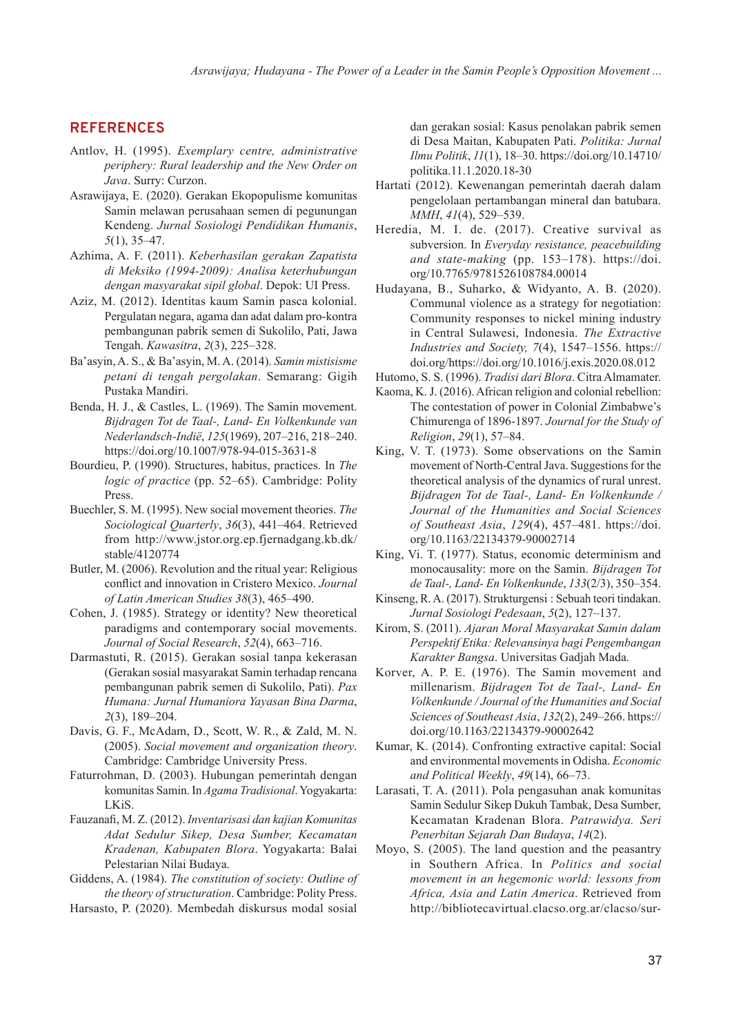# **REFERENCES**

- Antlov, H. (1995). *Exemplary centre, administrative periphery: Rural leadership and the New Order on Java*. Surry: Curzon.
- Asrawijaya, E. (2020). Gerakan Ekopopulisme komunitas Samin melawan perusahaan semen di pegunungan Kendeng. *Jurnal Sosiologi Pendidikan Humanis*, *5*(1), 35–47.
- Azhima, A. F. (2011). *Keberhasilan gerakan Zapatista di Meksiko (1994-2009): Analisa keterhubungan dengan masyarakat sipil global*. Depok: UI Press.
- Aziz, M. (2012). Identitas kaum Samin pasca kolonial. Pergulatan negara, agama dan adat dalam pro-kontra pembangunan pabrik semen di Sukolilo, Pati, Jawa Tengah. *Kawasitra*, *2*(3), 225–328.
- Ba'asyin, A. S., & Ba'asyin, M. A. (2014). *Samin mistisisme petani di tengah pergolakan*. Semarang: Gigih Pustaka Mandiri.
- Benda, H. J., & Castles, L. (1969). The Samin movement. *Bijdragen Tot de Taal-, Land- En Volkenkunde van Nederlandsch-Indië*, *125*(1969), 207–216, 218–240. https://doi.org/10.1007/978-94-015-3631-8
- Bourdieu, P. (1990). Structures, habitus, practices. In *The logic of practice* (pp. 52–65). Cambridge: Polity Press.
- Buechler, S. M. (1995). New social movement theories. *The Sociological Quarterly*, *36*(3), 441–464. Retrieved from http://www.jstor.org.ep.fjernadgang.kb.dk/ stable/4120774
- Butler, M. (2006). Revolution and the ritual year: Religious conflict and innovation in Cristero Mexico. *Journal of Latin American Studies 38*(3), 465–490.
- Cohen, J. (1985). Strategy or identity? New theoretical paradigms and contemporary social movements. *Journal of Social Research*, *52*(4), 663–716.
- Darmastuti, R. (2015). Gerakan sosial tanpa kekerasan (Gerakan sosial masyarakat Samin terhadap rencana pembangunan pabrik semen di Sukolilo, Pati). *Pax Humana: Jurnal Humaniora Yayasan Bina Darma*, *2*(3), 189–204.
- Davis, G. F., McAdam, D., Scott, W. R., & Zald, M. N. (2005). *Social movement and organization theory*. Cambridge: Cambridge University Press.
- Faturrohman, D. (2003). Hubungan pemerintah dengan komunitas Samin. In *Agama Tradisional*. Yogyakarta: LKiS.
- Fauzanafi, M. Z. (2012). *Inventarisasi dan kajian Komunitas Adat Sedulur Sikep, Desa Sumber, Kecamatan Kradenan, Kabupaten Blora*. Yogyakarta: Balai Pelestarian Nilai Budaya.
- Giddens, A. (1984). *The constitution of society: Outline of the theory of structuration*. Cambridge: Polity Press.
- Harsasto, P. (2020). Membedah diskursus modal sosial

dan gerakan sosial: Kasus penolakan pabrik semen di Desa Maitan, Kabupaten Pati. *Politika: Jurnal Ilmu Politik*, *11*(1), 18–30. https://doi.org/10.14710/ politika.11.1.2020.18-30

- Hartati (2012). Kewenangan pemerintah daerah dalam pengelolaan pertambangan mineral dan batubara. *MMH*, *41*(4), 529–539.
- Heredia, M. I. de. (2017). Creative survival as subversion. In *Everyday resistance, peacebuilding and state-making* (pp. 153–178). https://doi. org/10.7765/9781526108784.00014
- Hudayana, B., Suharko, & Widyanto, A. B. (2020). Communal violence as a strategy for negotiation: Community responses to nickel mining industry in Central Sulawesi, Indonesia. *The Extractive Industries and Society, 7*(4), 1547–1556. https:// doi.org/https://doi.org/10.1016/j.exis.2020.08.012
- Hutomo, S. S. (1996). *Tradisi dari Blora*. Citra Almamater.
- Kaoma, K. J. (2016). African religion and colonial rebellion: The contestation of power in Colonial Zimbabwe's Chimurenga of 1896-1897. *Journal for the Study of Religion*, *29*(1), 57–84.
- King, V. T. (1973). Some observations on the Samin movement of North-Central Java. Suggestions for the theoretical analysis of the dynamics of rural unrest. *Bijdragen Tot de Taal-, Land- En Volkenkunde / Journal of the Humanities and Social Sciences of Southeast Asia*, *129*(4), 457–481. https://doi. org/10.1163/22134379-90002714
- King, Vi. T. (1977). Status, economic determinism and monocausality: more on the Samin. *Bijdragen Tot de Taal-, Land- En Volkenkunde*, *133*(2/3), 350–354.
- Kinseng, R. A. (2017). Strukturgensi : Sebuah teori tindakan. *Jurnal Sosiologi Pedesaan*, *5*(2), 127–137.
- Kirom, S. (2011). *Ajaran Moral Masyarakat Samin dalam Perspektif Etika: Relevansinya bagi Pengembangan Karakter Bangsa*. Universitas Gadjah Mada.
- Korver, A. P. E. (1976). The Samin movement and millenarism. *Bijdragen Tot de Taal-, Land- En Volkenkunde / Journal of the Humanities and Social Sciences of Southeast Asia*, *132*(2), 249–266. https:// doi.org/10.1163/22134379-90002642
- Kumar, K. (2014). Confronting extractive capital: Social and environmental movements in Odisha. *Economic and Political Weekly*, *49*(14), 66–73.
- Larasati, T. A. (2011). Pola pengasuhan anak komunitas Samin Sedulur Sikep Dukuh Tambak, Desa Sumber, Kecamatan Kradenan Blora. *Patrawidya. Seri Penerbitan Sejarah Dan Budaya*, *14*(2).
- Moyo, S. (2005). The land question and the peasantry in Southern Africa. In *Politics and social movement in an hegemonic world: lessons from Africa, Asia and Latin America*. Retrieved from http://bibliotecavirtual.clacso.org.ar/clacso/sur-